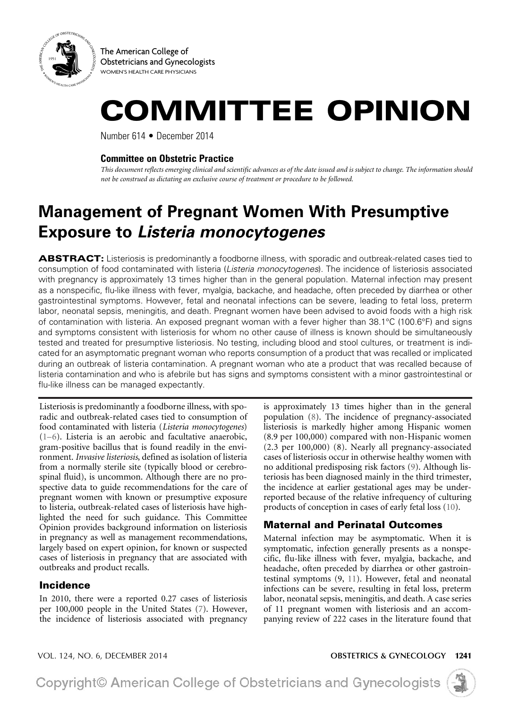

The American College of Obstetricians and Gynecologists WOMEN'S HEALTH CARE PHYSICIANS

# COMMITTEE OPINION

Number 614 • December 2014

#### **Committee on Obstetric Practice**

*This document reflects emerging clinical and scientific advances as of the date issued and is subject to change. The information should not be construed as dictating an exclusive course of treatment or procedure to be followed.*

## **Management of Pregnant Women With Presumptive Exposure to** *Listeria monocytogenes*

ABSTRACT: Listeriosis is predominantly a foodborne illness, with sporadic and outbreak-related cases tied to consumption of food contaminated with listeria (*Listeria monocytogenes*). The incidence of listeriosis associated with pregnancy is approximately 13 times higher than in the general population. Maternal infection may present as a nonspecific, flu-like illness with fever, myalgia, backache, and headache, often preceded by diarrhea or other gastrointestinal symptoms. However, fetal and neonatal infections can be severe, leading to fetal loss, preterm labor, neonatal sepsis, meningitis, and death. Pregnant women have been advised to avoid foods with a high risk of contamination with listeria. An exposed pregnant woman with a fever higher than 38.1°C (100.6°F) and signs and symptoms consistent with listeriosis for whom no other cause of illness is known should be simultaneously tested and treated for presumptive listeriosis. No testing, including blood and stool cultures, or treatment is indicated for an asymptomatic pregnant woman who reports consumption of a product that was recalled or implicated during an outbreak of listeria contamination. A pregnant woman who ate a product that was recalled because of listeria contamination and who is afebrile but has signs and symptoms consistent with a minor gastrointestinal or flu-like illness can be managed expectantly.

<span id="page-0-2"></span>Listeriosis is predominantly a foodborne illness, with sporadic and outbreak-related cases tied to consumption of food contaminated with listeria (*Listeria monocytogenes*) ([1–6\)](#page-3-0). Listeria is an aerobic and facultative anaerobic, gram-positive bacillus that is found readily in the environment. *Invasive listeriosis*, defined as isolation of listeria from a normally sterile site (typically blood or cerebrospinal fluid), is uncommon. Although there are no prospective data to guide recommendations for the care of pregnant women with known or presumptive exposure to listeria, outbreak-related cases of listeriosis have highlighted the need for such guidance. This Committee Opinion provides background information on listeriosis in pregnancy as well as management recommendations, largely based on expert opinion, for known or suspected cases of listeriosis in pregnancy that are associated with outbreaks and product recalls.

### Incidence

<span id="page-0-3"></span>In 2010, there were a reported 0.27 cases of listeriosis per 100,000 people in the United States ([7\)](#page-3-1). However, the incidence of listeriosis associated with pregnancy <span id="page-0-4"></span>is approximately 13 times higher than in the general population [\(8\)](#page-3-2). The incidence of pregnancy-associated listeriosis is markedly higher among Hispanic women (8.9 per 100,000) compared with non-Hispanic women (2.3 per 100,000) (8). Nearly all pregnancy-associated cases of listeriosis occur in otherwise healthy women with no additional predisposing risk factors ([9\)](#page-3-3). Although listeriosis has been diagnosed mainly in the third trimester, the incidence at earlier gestational ages may be underreported because of the relative infrequency of culturing products of conception in cases of early fetal loss ([10](#page-3-4)).

## <span id="page-0-5"></span><span id="page-0-0"></span>Maternal and Perinatal Outcomes

<span id="page-0-1"></span>Maternal infection may be asymptomatic. When it is symptomatic, infection generally presents as a nonspecific, flu-like illness with fever, myalgia, backache, and headache, often preceded by diarrhea or other gastrointestinal symptoms (9, [11](#page-3-5)). However, fetal and neonatal infections can be severe, resulting in fetal loss, preterm labor, neonatal sepsis, meningitis, and death. A case series of 11 pregnant women with listeriosis and an accompanying review of 222 cases in the literature found that

VOL. 124, NO. 6, DECEMBER 2014 **OBSTETRICS & GYNECOLOGY** 1241

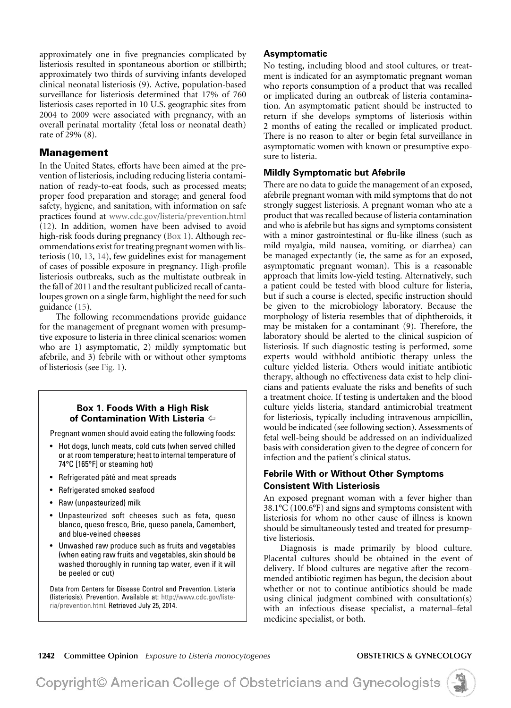approximately one in five pregnancies complicated by listeriosis resulted in spontaneous abortion or stillbirth; approximately two thirds of surviving infants developed clinical neonatal listeriosis (9). Active, population-based surveillance for listeriosis determined that 17% of 760 listeriosis cases reported in 10 U.S. geographic sites from 2004 to 2009 were associated with pregnancy, with an overall perinatal mortality (fetal loss or neonatal death) rate of 29% (8).

#### Management

<span id="page-1-3"></span><span id="page-1-1"></span>In the United States, efforts have been aimed at the prevention of listeriosis, including reducing listeria contamination of ready-to-eat foods, such as processed meats; proper food preparation and storage; and general food safety, hygiene, and sanitation, with information on safe practices found at [www.cdc.gov/listeria/prevention.html](http://www.cdc.gov/listeria/prevention.html) ([12](#page-3-6)). In addition, women have been advised to avoid high-risk foods during pregnancy [\(Box 1](#page-1-0)). Although recommendations exist for treating pregnant women with listeriosis (10, [13](#page-3-7), [14](#page-3-8)), few guidelines exist for management of cases of possible exposure in pregnancy. High-profile listeriosis outbreaks, such as the multistate outbreak in the fall of 2011 and the resultant publicized recall of cantaloupes grown on a single farm, highlight the need for such guidance ([15](#page-3-9)).

<span id="page-1-6"></span><span id="page-1-5"></span><span id="page-1-4"></span><span id="page-1-2"></span>The following recommendations provide guidance for the management of pregnant women with presumptive exposure to listeria in three clinical scenarios: women who are 1) asymptomatic, 2) mildly symptomatic but afebrile, and 3) febrile with or without other symptoms of listeriosis (see [Fig. 1](#page-2-0)).

#### <span id="page-1-0"></span>**Box 1. Foods With a High Risk of Contamination With Listeria** [^](#page-1-1)

Pregnant women should avoid eating the following foods:

- Hot dogs, lunch meats, cold cuts (when served chilled or at room temperature; heat to internal temperature of 74°C [165°F] or steaming hot)
- Refrigerated pâté and meat spreads
- Refrigerated smoked seafood
- Raw (unpasteurized) milk
- Unpasteurized soft cheeses such as feta, queso blanco, queso fresco, Brie, queso panela, Camembert, and blue-veined cheeses
- Unwashed raw produce such as fruits and vegetables (when eating raw fruits and vegetables, skin should be washed thoroughly in running tap water, even if it will be peeled or cut)

Data from Centers for Disease Control and Prevention. Listeria (listeriosis). Prevention. Available at: [http://www.cdc.gov/liste](http://www.cdc.gov/listeria/prevention.html)[ria/prevention.html.](http://www.cdc.gov/listeria/prevention.html) Retrieved July 25, 2014.

#### **Asymptomatic**

No testing, including blood and stool cultures, or treatment is indicated for an asymptomatic pregnant woman who reports consumption of a product that was recalled or implicated during an outbreak of listeria contamination. An asymptomatic patient should be instructed to return if she develops symptoms of listeriosis within 2 months of eating the recalled or implicated product. There is no reason to alter or begin fetal surveillance in asymptomatic women with known or presumptive exposure to listeria.

#### **Mildly Symptomatic but Afebrile**

There are no data to guide the management of an exposed, afebrile pregnant woman with mild symptoms that do not strongly suggest listeriosis. A pregnant woman who ate a product that was recalled because of listeria contamination and who is afebrile but has signs and symptoms consistent with a minor gastrointestinal or flu-like illness (such as mild myalgia, mild nausea, vomiting, or diarrhea) can be managed expectantly (ie, the same as for an exposed, asymptomatic pregnant woman). This is a reasonable approach that limits low-yield testing. Alternatively, such a patient could be tested with blood culture for listeria, but if such a course is elected, specific instruction should be given to the microbiology laboratory. Because the morphology of listeria resembles that of diphtheroids, it may be mistaken for a contaminant (9). Therefore, the laboratory should be alerted to the clinical suspicion of listeriosis. If such diagnostic testing is performed, some experts would withhold antibiotic therapy unless the culture yielded listeria. Others would initiate antibiotic therapy, although no effectiveness data exist to help clinicians and patients evaluate the risks and benefits of such a treatment choice. If testing is undertaken and the blood culture yields listeria, standard antimicrobial treatment for listeriosis, typically including intravenous ampicillin, would be indicated (see following section). Assessments of fetal well-being should be addressed on an individualized basis with consideration given to the degree of concern for infection and the patient's clinical status.

#### **Febrile With or Without Other Symptoms Consistent With Listeriosis**

An exposed pregnant woman with a fever higher than 38.1°C (100.6°F) and signs and symptoms consistent with listeriosis for whom no other cause of illness is known should be simultaneously tested and treated for presumptive listeriosis.

Diagnosis is made primarily by blood culture. Placental cultures should be obtained in the event of delivery. If blood cultures are negative after the recommended antibiotic regimen has begun, the decision about whether or not to continue antibiotics should be made using clinical judgment combined with consultation(s) with an infectious disease specialist, a maternal–fetal medicine specialist, or both.



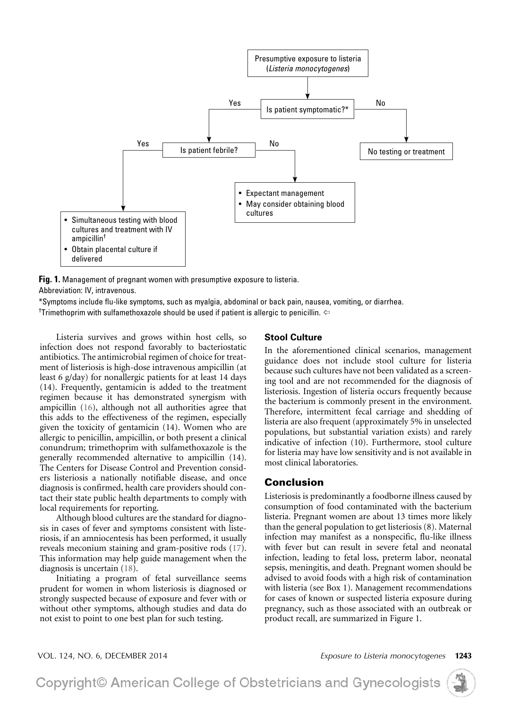

<span id="page-2-0"></span>**Fig. 1.** Management of pregnant women with presumptive exposure to listeria. Abbreviation: IV, intravenous.

\*Symptoms include flu-like symptoms, such as myalgia, abdominal or back pain, nausea, vomiting, or diarrhea.

<sup>†</sup>Trimethoprim with sulfamethoxazole should be used if patient is allergic to penicillin.  $\Leftarrow$ 

<span id="page-2-1"></span>Listeria survives and grows within host cells, so infection does not respond favorably to bacteriostatic antibiotics. The antimicrobial regimen of choice for treatment of listeriosis is high-dose intravenous ampicillin (at least 6 g/day) for nonallergic patients for at least 14 days (14). Frequently, gentamicin is added to the treatment regimen because it has demonstrated synergism with ampicillin [\(16\)](#page-3-10), although not all authorities agree that this adds to the effectiveness of the regimen, especially given the toxicity of gentamicin (14). Women who are allergic to penicillin, ampicillin, or both present a clinical conundrum; trimethoprim with sulfamethoxazole is the generally recommended alternative to ampicillin (14). The Centers for Disease Control and Prevention considers listeriosis a nationally notifiable disease, and once diagnosis is confirmed, health care providers should contact their state public health departments to comply with local requirements for reporting.

<span id="page-2-2"></span>Although blood cultures are the standard for diagnosis in cases of fever and symptoms consistent with listeriosis, if an amniocentesis has been performed, it usually reveals meconium staining and gram-positive rods ([17](#page-3-11)). This information may help guide management when the diagnosis is uncertain [\(18\)](#page-3-12).

<span id="page-2-3"></span>Initiating a program of fetal surveillance seems prudent for women in whom listeriosis is diagnosed or strongly suspected because of exposure and fever with or without other symptoms, although studies and data do not exist to point to one best plan for such testing.

#### **Stool Culture**

In the aforementioned clinical scenarios, management guidance does not include stool culture for listeria because such cultures have not been validated as a screening tool and are not recommended for the diagnosis of listeriosis. Ingestion of listeria occurs frequently because the bacterium is commonly present in the environment. Therefore, intermittent fecal carriage and shedding of listeria are also frequent (approximately 5% in unselected populations, but substantial variation exists) and rarely indicative of infection (10). Furthermore, stool culture for listeria may have low sensitivity and is not available in most clinical laboratories.

#### Conclusion

Listeriosis is predominantly a foodborne illness caused by consumption of food contaminated with the bacterium listeria. Pregnant women are about 13 times more likely than the general population to get listeriosis (8). Maternal infection may manifest as a nonspecific, flu-like illness with fever but can result in severe fetal and neonatal infection, leading to fetal loss, preterm labor, neonatal sepsis, meningitis, and death. Pregnant women should be advised to avoid foods with a high risk of contamination with listeria (see Box 1). Management recommendations for cases of known or suspected listeria exposure during pregnancy, such as those associated with an outbreak or product recall, are summarized in Figure 1.

VOL. 124, NO. 6, DECEMBER 2014 *Exposure to Listeria monocytogenes*1243